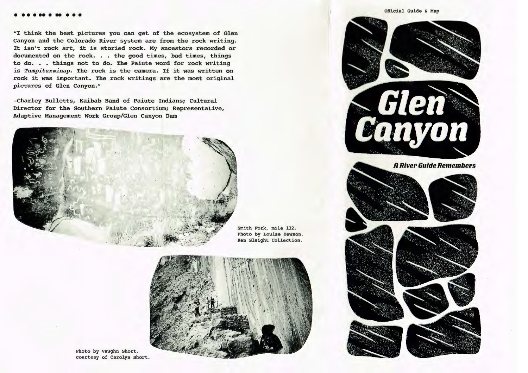## . .........

"I think the best pictures you can get of the ecosystem of Glen Canyon and the Colorado River system are from the rock writing. It isn't rock art, it is storied rock. My ancestors recorded or documented on the rock. . the good times, bad times, things to do. . things not to do. The Paiute word for rock writing is *Tumpituxwinap.* The rock is the camera. If it was written on rock it was important. The rock writings are the most original pictures of Glen Canyon."

-Charley Bulletts, Kaibab Band of Paiute Indians; Cultural Director for the Southern Paiute Consortium; Representative, Adaptive Management Work Group/Glen Canyon Dam



Smith Fork, mile 132. Photo by Louise Dawson, Ken Sleight Collection.



Photo by Vaughn Short, courtesy of Carolyn Short.

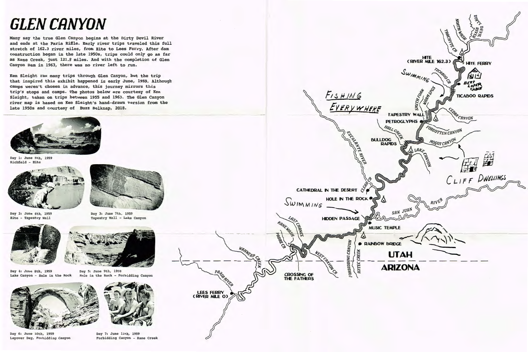## **GLEN CANYON**

Many say the true Glen Canyon begins at the Dirty Devil River and ends at the Paria Riffle. Early river trips traveled this full stretch of 162.3 river miles, from Hite to Lees Ferry. After dam construction began in the late 1950s, trips could only go as far as Kane Creek, just 121.8 miles. And with the completion of Glen Canyon Dam in 1963, there was no river left to run.

Ken Sleight ran many trips through Glen Canyon, but the trip that inspired this exhibit happened in early June, 1959. Although camps weren't chosen in advance, this journey mirrors this trip's stops and camps. The photos below are courtesy of Ken Sleight, taken on trips between 1955 and 1963. The Glen Canyon river map is based on Ken Sleight's hand-drawn version from the late 1950s and courtesy of Buzz Belknap, 2018.



Day 1: June 5th, 1959 Richfield - Hite



Day 2: June 6th, 1959 Bite - Tapestry Wall



Day 4: June 8th, 1959 Lake Canyon - Hole in the Rock



Day 6: June lOth, 1959 Layover Day, Forbidding Canyon



Day 3: June 7th, 1959 Tapestry Wall - Lake Canyon



Day 5: June 9th, 1959 Hole in the Rock - Forbidding Canyon



Day 7: June 11th, 1959 Forbidding Canyon - Kane Creek